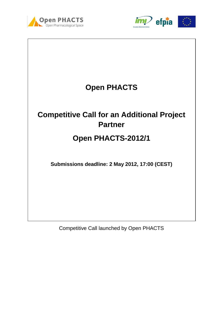





Competitive Call launched by Open PHACTS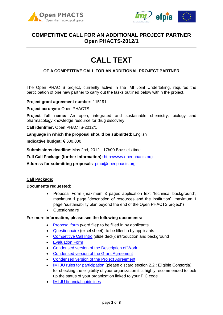



# **CALL TEXT**

### **OF A COMPETITIVE CALL FOR AN ADDITIONAL PROJECT PARTNER**

The Open PHACTS project, currently active in the IMI Joint Undertaking, requires the participation of one new partner to carry out the tasks outlined below within the project.

**Project grant agreement number:** 115191

**Project acronym:** Open PHACTS

**Project full name:** An open, integrated and sustainable chemistry, biology and pharmacology knowledge resource for drug discovery

**Call identifier:** Open PHACTS-2012/1

**Language in which the proposal should be submitted**: English

**Indicative budget:** € 300.000

**Submissions deadline**: May 2nd, 2012 - 17h00 Brussels time

**Full Call Package (further information):** [http://www.openphacts.org](http://www.openphacts.org/)

**Address for submitting proposals**: [pmu@openphacts.org](mailto:pmu@openphacts.org)

#### **Call Package:**

#### **Documents requested:**

- Proposal Form (maximum 3 pages application text "technical background", maximum 1 page "description of resources and the institution", maximum 1 page "sustainability plan beyond the end of the Open PHACTS project")
- Questionnaire

#### **For more information, please see the following documents:**

- [Proposal form](http://www.openphacts.org/documents/call%20docs/Open%20PHACTS_Competitive%20Call%20Proposal%20Form.docx) (word file): to be filled in by applicants
- [Questionnaire](http://www.openphacts.org/documents/call%20docs/Open%20PHACTS_Competitive%20Call%20Questionnaire.xlsx) (excel sheet): to be filled in by applicants
- [Competitive Call Intro](http://www.openphacts.org/documents/call%20docs/Open%20PHACTS_Competititve%20Call%20Information.pdf) (slide deck): introduction and background
- [Evaluation Form](http://www.openphacts.org/documents/call%20docs/Open%20PHACTS_Evaluation%20Form.pdf)
- [Condensed version of the Description of Work](http://www.openphacts.org/documents/call%20docs/Open%20PHACTS%20DOW%20light.pdf)
- [Condensed version of the Grant Agreement](http://www.openphacts.org/documents/call%20docs/Open%20PHACTS_Grant%20Agreement_condensed.pdf)
- [Condensed version of the Project Agreement](http://www.openphacts.org/documents/call%20docs/Open%20PHACTS_Project%20Agreement_condensed.pdf)
- [IMI JU rules for participation](http://www.openphacts.org/documents/call%20docs/IMI_Rules%20for%20Participation_FINAL.pdf) (please discard section 2.2.: Eligible Consortia); for checking the eligibility of your organization it is highly recommended to look up the status of your organization linked to your PIC code
- [IMI JU financial guidelines](http://www.openphacts.org/documents/call%20docs/IMI_Financial_Guidelines_rev2012.pdf)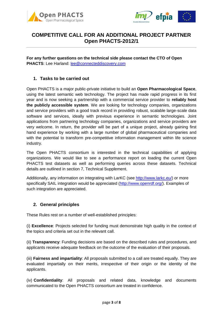



**For any further questions on the technical side please contact the CTO of Open PHACTS**: Lee Harland: [lee@connecteddiscovery.com](mailto:lee@connecteddiscovery.com)

## **1. Tasks to be carried out**

Open PHACTS is a major public-private initiative to build an **Open Pharmacological Space**, using the latest semantic web technology. The project has made rapid progress in its first year and is now seeking a partnership with a commercial service provider to **reliably host the publicly accessible system**. We are looking for technology companies, organizations and service providers with a good track record in providing robust, scalable large-scale data software and services, ideally with previous experience in semantic technologies. Joint applications from partnering technology companies, organizations and service providers are very welcome. In return, the provider will be part of a unique project, already gaining first hand experience by working with a large number of global pharmaceutical companies and with the potential to transform pre-competitive information management within life science industry.

The Open PHACTS consortium is interested in the technical capabilities of applying organizations. We would like to see a performance report on loading the current Open PHACTS test datasets as well as performing queries across these datasets. Technical details are outlined in section 7, Technical Supplement.

Additionally, any information on integrating with LarKC (see [http://www.larkc.eu/\)](http://www.larkc.eu/) or more specifically SAIL integration would be appreciated [\(http://www.openrdf.org/\)](http://www.openrdf.org/). Examples of such integration are appreciated.

## **2. General principles**

These Rules rest on a number of well-established principles:

(i) **Excellence**: Projects selected for funding must demonstrate high quality in the context of the topics and criteria set out in the relevant call.

(ii) **Transparency**: Funding decisions are based on the described rules and procedures, and applicants receive adequate feedback on the outcome of the evaluation of their proposals.

(iii) **Fairness and impartiality**: All proposals submitted to a call are treated equally. They are evaluated impartially on their merits, irrespective of their origin or the identity of the applicants.

(iv)-**Confidentiality**: All proposals and related data, knowledge and documents communicated to the Open PHACTS consortium are treated in confidence.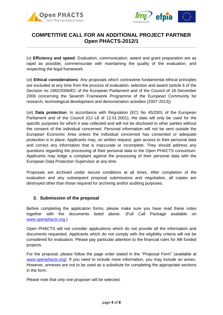



(v) **Efficiency and speed**: Evaluation, communication, award and grant preparation are as rapid as possible, commensurate with maintaining the quality of the evaluation, and respecting the legal framework.

(vi) **Ethical considerations**: Any proposals which contravene fundamental ethical principles are excluded at any time from the process of evaluation, selection and award (article 6 of the Decision no 1982/2006/EC of the European Parliament and of the Council of 18 December 2006 concerning the Seventh Framework Programme of the European Community for research, technological development and demonstration activities (2007-2013))

(vii) **Data protection**: In accordance with Regulation (EC) No 45/2001 of the European Parliament and of the Council (OJ L8 of 12.01.2001), the data will only be used for the specific purposes for which it was collected and will not be disclosed to other parties without the consent of the individual concerned. Personal information will not be sent outside the European Economic Area unless the individual concerned has consented or adequate protection is in place. Applicants may, on written request, gain access to their personal data and correct any information that is inaccurate or incomplete. They should address any questions regarding the processing of their personal data to the Open PHACTS consortium. Applicants may lodge a complaint against the processing of their personal data with the European Data Protection Supervisor at any time.

Proposals are archived under secure conditions at all times. After completion of the evaluation and any subsequent proposal submissions and negotiation, all copies are destroyed other than those required for archiving and/or auditing purposes.

## **3. Submission of the proposal**

Before completing the application forms, please make sure you have read these notes together with the documents listed above. (Full Call Package available on [www.openphacts.org.](http://www.openphacts.org/))

Open PHACTS will not consider applications which do not provide all the information and documents requested. Applicants which do not comply with the eligibility criteria will not be considered for evaluation. Please pay particular attention to the financial rules for IMI funded projects.

For the proposal, please follow the page order stated in the "Proposal Form" (available at [www.openphacts.org\)](http://www.openphacts.org/). If you need to include more information, you may include an annex. However, annexes are not to be used as a substitute for completing the appropriate sections in the form.

Please note that only one proposer will be selected.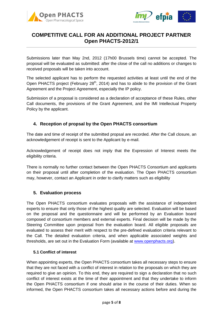



Submissions later than May 2nd, 2012 (17h00 Brussels time) cannot be accepted. The proposal will be evaluated as submitted: after the close of the call no additions or changes to received proposals will be taken into account.

The selected applicant has to perform the requested activities at least until the end of the Open PHACTS project (February  $28<sup>th</sup>$ , 2014) and has to abide to the provision of the Grant Agreement and the Project Agreement, especially the IP policy.

Submission of a proposal is considered as a declaration of acceptance of these Rules, other Call documents, the provisions of the Grant Agreement, and the IMI Intellectual Property Policy by the applicant.

## **4. Reception of propsal by the Open PHACTS consortium**

The date and time of receipt of the submitted propsal are recorded. After the Call closure, an acknowledgement of receipt is sent to the Applicant by e-mail.

Acknowledgement of receipt does not imply that the Expression of Interest meets the eligibility criteria.

There is normally no further contact between the Open PHACTS Consortium and applicants on their proposal until after completion of the evaluation. The Open PHACTS consortium may, however, contact an Applicant in order to clarify matters such as eligibility

## **5. Evaluation process**

The Open PHACTS consortium evaluates proposals with the assistance of independent experts to ensure that only those of the highest quality are selected. Evaluation will be based on the proposal and the questionnaire and will be performed by an Evaluation board composed of consortium members and external experts. Final decision will be made by the Steering Committee upon proposal from the evaluation board. All eligible proposals are evaluated to assess their merit with respect to the pre-defined evaluation criteria relevant to the Call. The detailed evaluation criteria, and when applicable associated weights and thresholds, are set out in the Evaluation Form (available at [www.openphacts.org\)](http://www.openphacts.org/).

#### **5.1 Conflict of interest**

When appointing experts, the Open PHACTS consortium takes all necessary steps to ensure that they are not faced with a conflict of interest in relation to the proposals on which they are required to give an opinion. To this end, they are required to sign a declaration that no such conflict of interest exists at the time of their appointment and that they undertake to inform the Open PHACTS consortium if one should arise in the course of their duties. When so informed, the Open PHACTS consortium takes all necessary actions before and during the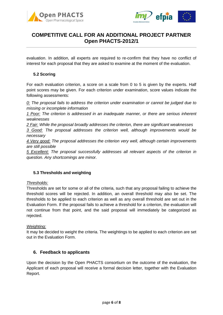



evaluation. In addition, all experts are required to re-confirm that they have no conflict of interest for each proposal that they are asked to examine at the moment of the evaluation.

### **5.2 Scoring**

For each evaluation criterion, a score on a scale from 0 to 5 is given by the experts. Half point scores may be given. For each criterion under examination, score values indicate the following assessments:

*0: The proposal fails to address the criterion under examination or cannot be judged due to missing or incomplete information*

*1 Poor: The criterion is addressed in an inadequate manner, or there are serious inherent weaknesses*

*2 Fair: While the proposal broadly addresses the criterion, there are significant weaknesses*

*3 Good: The proposal addresses the criterion well, although improvements would be necessary*

*4 Very good: The proposal addresses the criterion very well, although certain improvements are still possible*

*5 Excellent: The proposal successfully addresses all relevant aspects of the criterion in question. Any shortcomings are minor.*

#### **5.3 Thresholds and weighting**

#### *Thresholds:*

Thresholds are set for some or all of the criteria, such that any proposal failing to achieve the threshold scores will be rejected. In addition, an overall threshold may also be set. The thresholds to be applied to each criterion as well as any overall threshold are set out in the Evaluation Form. If the proposal fails to achieve a threshold for a criterion, the evaluation will not continue from that point, and the said proposal will immediately be categorized as rejected.

#### *Weighting:*

It may be decided to weight the criteria. The weightings to be applied to each criterion are set out in the Evaluation Form.

#### **6. Feedback to applicants**

Upon the decision by the Open PHACTS consortium on the outcome of the evaluation, the Applicant of each proposal will receive a formal decision letter, together with the Evaluation Report.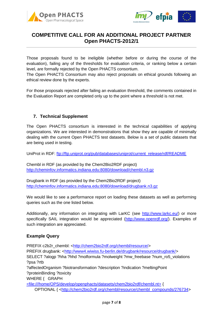



Those proposals found to be ineligible (whether before or during the course of the evaluation), failing any of the thresholds for evaluation criteria, or ranking below a certain level, are formally rejected by the Open PHACTS consortium.

The Open PHACTS Consortium may also reject proposals on ethical grounds following an ethical review done by the experts.

For those proposals rejected after failing an evaluation threshold, the comments contained in the Evaluation Report are completed only up to the point where a threshold is not met.

## **7. Technical Supplement**

The Open PHACTS consortium is interested in the technical capabilities of applying organizations. We are interested in demonstrations that show they are capable of minimally dealing with the current Open PHACTS test datasets. Below is a set of public datasets that are being used in testing.

UniProt in RDF: [ftp://ftp.uniprot.org/pub/databases/uniprot/current\\_release/rdf/README](ftp://ftp.uniprot.org/pub/databases/uniprot/current_release/rdf/README)

Chembl in RDF (as provided by the Chem2Bio2RDF project) <http://cheminfov.informatics.indiana.edu:8080/download/chembl.n3.gz>

Drugbank in RDF (as provided by the Chem2Bio2RDF project) <http://cheminfov.informatics.indiana.edu:8080/download/drugbank.n3.gz>

We would like to see a performance report on loading these datasets as well as performing queries such as the one listed below.

Additionally, any information on integrating with LarKC (see [http://www.larkc.eu/\)](http://www.larkc.eu/) or more specifically SAIL integration would be appreciated [\(http://www.openrdf.org/\)](http://www.openrdf.org/). Examples of such integration are appreciated.

## **Example Query**

PREFIX c2b2r\_chembl: [<http://chem2bio2rdf.org/chembl/resource/>](http://chem2bio2rdf.org/chembl/resource/) PREFIX drugbank: [<http://www4.wiwiss.fu-berlin.de/drugbank/resource/drugbank/>](http://www4.wiwiss.fu-berlin.de/drugbank/resource/drugbank/) SELECT ?alogp ?hha ?hhd ?molformula ?molweight ?mw\_freebase ?num\_ro5\_violations ?psa ?rtb ?affectedOrganism ?biotransformation ?description ?indication ?meltingPoint ?proteinBinding ?toxicity WHERE { GRAPH [<file:///home/OPS/develop/openphacts/datasets/chem2bio2rdf/chembl.nt>](file://share.univie.ac.at/home/OPS/develop/openphacts/datasets/chem2bio2rdf/chembl.nt) { OPTIONAL { [<http://chem2bio2rdf.org/chembl/resource/chembl\\_compounds/276734>](http://chem2bio2rdf.org/chembl/resource/chembl_compounds/276734)